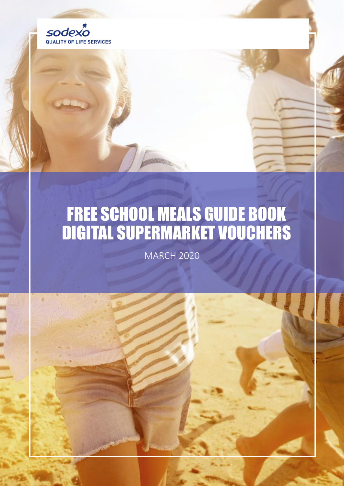

### FREE SCHOOL MEALS GUIDE BOOK DIGITAL SUPERMARKET VOUCHERS

MARCH 2020

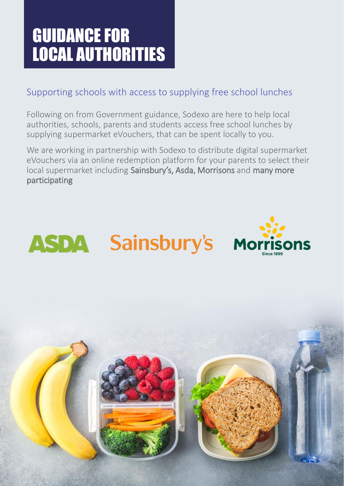## GUIDANCE FOR LOCAL AUTHORITIES

#### Supporting schools with access to supplying free school lunches

Following on from Government guidance, Sodexo are here to help local authorities, schools, parents and students access free school lunches by supplying supermarket eVouchers, that can be spent locally to you.

We are working in partnership with Sodexo to distribute digital supermarket eVouchers via an online redemption platform for your parents to select their local supermarket including Sainsbury's, Asda, Morrisons and many more participating



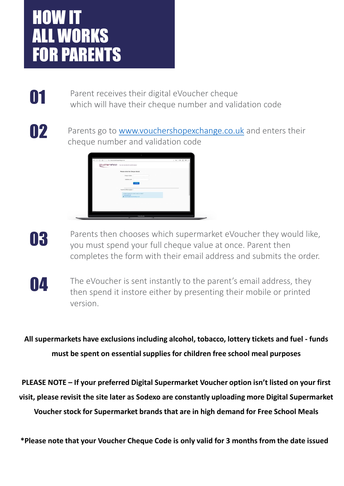### HOW IT ALL WORKS FOR PARENTS

**O1** Parent receives their digital eVoucher cheque<br>which will have their cheque number and validation code

02

Parents go to [www.vouchershopexchange.co.uk](http://www.vouchershopexchange.co.uk/) and enters their cheque number and validation code



03

Parents then chooses which supermarket eVoucher they would like, you must spend your full cheque value at once. Parent then completes the form with their email address and submits the order.

04

The eVoucher is sent instantly to the parent's email address, they then spend it instore either by presenting their mobile or printed version.

**All supermarkets have exclusions including alcohol, tobacco, lottery tickets and fuel - funds must be spent on essential supplies for children free school meal purposes** 

**PLEASE NOTE – If your preferred Digital Supermarket Voucher option isn't listed on your first visit, please revisit the site later as Sodexo are constantly uploading more Digital Supermarket Voucher stock for Supermarket brands that are in high demand for Free School Meals**

**\*Please note that your Voucher Cheque Code is only valid for 3 months from the date issued**